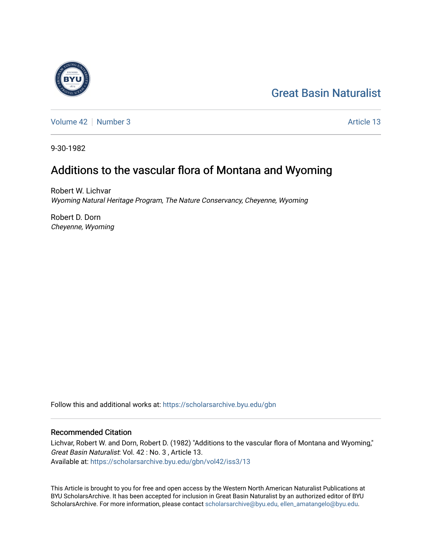# [Great Basin Naturalist](https://scholarsarchive.byu.edu/gbn)



[Volume 42](https://scholarsarchive.byu.edu/gbn/vol42) [Number 3](https://scholarsarchive.byu.edu/gbn/vol42/iss3) Article 13

9-30-1982

# Additions to the vascular flora of Montana and Wyoming

Robert W. Lichvar Wyoming Natural Heritage Program, The Nature Conservancy, Cheyenne, Wyoming

Robert D. Dorn Cheyenne, Wyoming

Follow this and additional works at: [https://scholarsarchive.byu.edu/gbn](https://scholarsarchive.byu.edu/gbn?utm_source=scholarsarchive.byu.edu%2Fgbn%2Fvol42%2Fiss3%2F13&utm_medium=PDF&utm_campaign=PDFCoverPages) 

# Recommended Citation

Lichvar, Robert W. and Dorn, Robert D. (1982) "Additions to the vascular flora of Montana and Wyoming," Great Basin Naturalist: Vol. 42 : No. 3 , Article 13. Available at: [https://scholarsarchive.byu.edu/gbn/vol42/iss3/13](https://scholarsarchive.byu.edu/gbn/vol42/iss3/13?utm_source=scholarsarchive.byu.edu%2Fgbn%2Fvol42%2Fiss3%2F13&utm_medium=PDF&utm_campaign=PDFCoverPages) 

This Article is brought to you for free and open access by the Western North American Naturalist Publications at BYU ScholarsArchive. It has been accepted for inclusion in Great Basin Naturalist by an authorized editor of BYU ScholarsArchive. For more information, please contact [scholarsarchive@byu.edu, ellen\\_amatangelo@byu.edu.](mailto:scholarsarchive@byu.edu,%20ellen_amatangelo@byu.edu)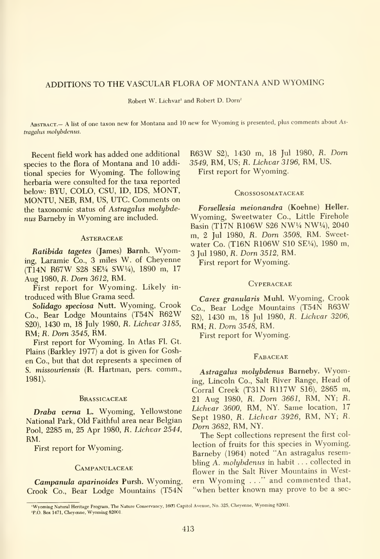# ADDITIONS TO THE VASCULAR FLORA OF MONTANA AND WYOMING

Robert W. Lichvar' and Robert D. Dorn'

ABSTRACT.- A list of one taxon new for Montana and 10 new for Wyoming is presented, plus comments about Astragalus molybdenus.

Recent field work has added one additional species to the flora of Montana and 10 additional species for Wyoming. The following herbaria were consulted for the taxa reported below: BYU, COLO, CSU, ID, IDS, MONT, MONTU, NEB, RM, US, UTC. Comments on the taxonomic status of Astragalus molybdenus Barneby in Wyoming are included.

#### **ASTERACEAE**

Ratibida tagetes (James) Barnh. Wyoming, Laramie Co., 3 miles W. of Cheyenne (T14N R67W S28 SEi/4 SW1/4), 1890 m, <sup>17</sup> Aug 1980, R. Dom 3612, RM.

First report for Wyoming. Likely in troduced with Blue Grama seed.

Solidago speciosa Nutt. Wyoming, Crook Co., Bear Lodge Mountains (T54N R62W S20), 1430 m, 18 July 1980, R. Lichvar 3185, RM; R. Dom 3545, RM.

First report for Wyoming. In Atlas Fl. Gt. Plains (Barkley 1977) a dot is given for Goshen Co., but that dot represents a specimen of S. missouriensis (R. Hartman, pers. comm., 1981).

#### **BRASSICACEAE**

Draba verna L. Wyoming, Yellowstone National Park, Old Faithful area near Belgian Pool, 2285 m, 25 Apr 1980, R. Lichvar 2544, RM.

First report for Wyoming.

#### **CAMPANULACEAE**

Campanula aparinoides Pursh. Wyoming, Crook Co., Bear Lodge Mountains (T54N

R63W S2), <sup>1430</sup> m, <sup>18</sup> Jul 1980, R. Dom 3549, RM, US; R. Lichvar 3196, RM, US. First report for Wyoming.

#### **CROSSOSOMATACEAE**

Forsellesia meionandra (Koehne) Heller. Wyoming, Sweetwater Co., Little Firehole Basin (T17N R106W S26 NW1/4 NW1/4), 2040 m, <sup>2</sup> Jul 1980, R. Dorn 3508, RM. Sweet water Co. (T16N R106W S10 SE1/4), 1980 m, <sup>3</sup> Jul 1980, R. Dom 3512, RM.

First report for Wyoming.

#### **CYPERACEAE**

Carex granularis Muhl. Wyoming, Crook Co., Bear Lodge Mountains (T54N R63W S2), 1430 m, 18 Jul 1980, R. Lichvar 3206, RM; fi. Dorn 3548, RM.

First report for Wyoming.

### **FABACEAE**

Astragalus molybdenus Barneby. Wyoming, Lincoln Co., Salt River Range, Head of Corral Creek (T31N R117W S16), 2865 m, <sup>21</sup> Aug 1980, R. Dorn 3661, RM, NY; R. Lichvar 3600, RM, NY. Same location, 17 Sept 1980, R. Lichvar 3926, RM, NY; R. Dorn 3682, RM, NY.

The Sept collections represent the first col lection of fruits for this species in Wyoming. Barneby (1964) noted "An astragalus resembling A. molybdenus in habit . . . collected in flower in the Salt River Mountains in Western Wyoming . . ." and commented that, "when better known may prove to be a sec-

<sup>&#</sup>x27;Wyoming Natural Heritage Program, The Nature Conservancy, <sup>1603</sup> Capitol Avenue, No. 325, Cheyenne, Wyoming 82001. 'P.O. Box 1471, Cheyenne, Wyoming 82001.